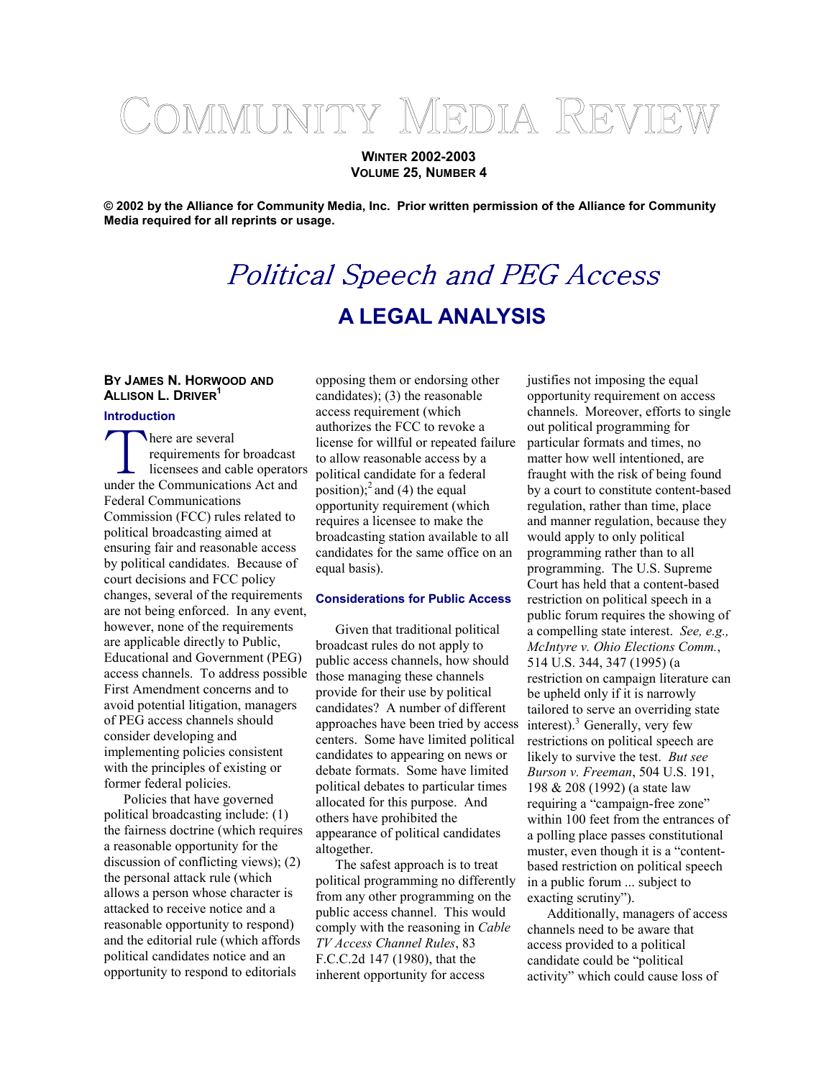# COMMUNITY MEDIA REVIEW

**WINTER 2002-2003 VOLUME 25, NUMBER 4** 

**© 2002 by the Alliance for Community Media, Inc. Prior written permission of the Alliance for Community Media required for all reprints or usage.** 

## Political Speech and PEG Access **A LEGAL ANALYSIS**

### **BY JAMES N. HORWOOD AND ALLISON L. DRIVER1**

#### **Introduction**

**here** are several requirements for broadcast licensees and cable operators under the Communications Act and Federal Communications Commission (FCC) rules related to political broadcasting aimed at ensuring fair and reasonable access by political candidates. Because of court decisions and FCC policy changes, several of the requirements are not being enforced. In any event, however, none of the requirements are applicable directly to Public, Educational and Government (PEG) access channels. To address possible First Amendment concerns and to avoid potential litigation, managers of PEG access channels should consider developing and implementing policies consistent with the principles of existing or former federal policies.

Policies that have governed political broadcasting include: (1) the fairness doctrine (which requires a reasonable opportunity for the discussion of conflicting views); (2) the personal attack rule (which allows a person whose character is attacked to receive notice and a reasonable opportunity to respond) and the editorial rule (which affords political candidates notice and an opportunity to respond to editorials

opposing them or endorsing other candidates); (3) the reasonable access requirement (which authorizes the FCC to revoke a license for willful or repeated failure to allow reasonable access by a political candidate for a federal position);<sup>2</sup> and (4) the equal opportunity requirement (which requires a licensee to make the broadcasting station available to all candidates for the same office on an equal basis).

#### **Considerations for Public Access**

Given that traditional political broadcast rules do not apply to public access channels, how should those managing these channels provide for their use by political candidates? A number of different approaches have been tried by access centers. Some have limited political candidates to appearing on news or debate formats. Some have limited political debates to particular times allocated for this purpose. And others have prohibited the appearance of political candidates altogether.

The safest approach is to treat political programming no differently from any other programming on the public access channel. This would comply with the reasoning in *Cable TV Access Channel Rules*, 83 F.C.C.2d 147 (1980), that the inherent opportunity for access

justifies not imposing the equal opportunity requirement on access channels. Moreover, efforts to single out political programming for particular formats and times, no matter how well intentioned, are fraught with the risk of being found by a court to constitute content-based regulation, rather than time, place and manner regulation, because they would apply to only political programming rather than to all programming. The U.S. Supreme Court has held that a content-based restriction on political speech in a public forum requires the showing of a compelling state interest. *See, e.g., McIntyre v. Ohio Elections Comm.*, 514 U.S. 344, 347 (1995) (a restriction on campaign literature can be upheld only if it is narrowly tailored to serve an overriding state interest). $3$  Generally, very few restrictions on political speech are likely to survive the test. *But see Burson v. Freeman*, 504 U.S. 191, 198 & 208 (1992) (a state law requiring a "campaign-free zone" within 100 feet from the entrances of a polling place passes constitutional muster, even though it is a "contentbased restriction on political speech in a public forum ... subject to exacting scrutiny").

Additionally, managers of access channels need to be aware that access provided to a political candidate could be "political activity" which could cause loss of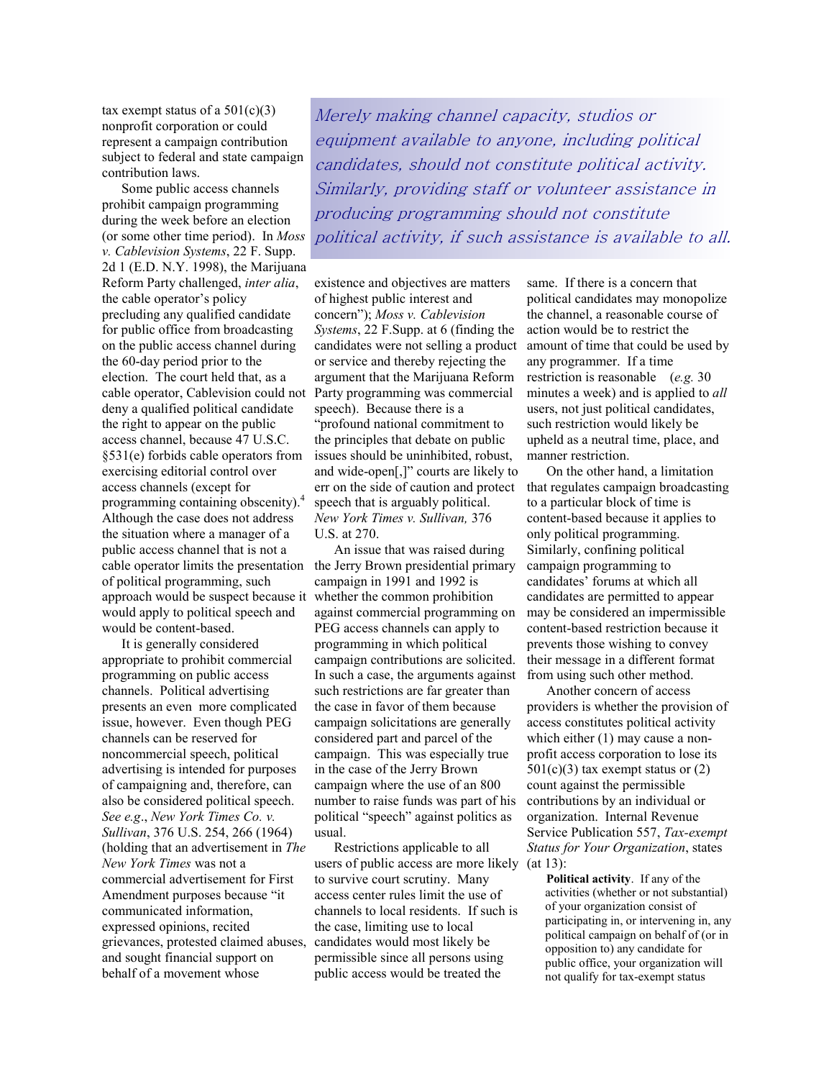tax exempt status of a  $501(c)(3)$ nonprofit corporation or could represent a campaign contribution subject to federal and state campaign contribution laws.

Some public access channels prohibit campaign programming during the week before an election (or some other time period). In *Moss v. Cablevision Systems*, 22 F. Supp. 2d 1 (E.D. N.Y. 1998), the Marijuana Reform Party challenged, *inter alia*, the cable operator's policy precluding any qualified candidate for public office from broadcasting on the public access channel during the 60-day period prior to the election. The court held that, as a cable operator, Cablevision could not Party programming was commercial deny a qualified political candidate the right to appear on the public access channel, because 47 U.S.C. §531(e) forbids cable operators from exercising editorial control over access channels (except for programming containing obscenity).<sup>4</sup> Although the case does not address the situation where a manager of a public access channel that is not a cable operator limits the presentation the Jerry Brown presidential primary of political programming, such approach would be suspect because it would apply to political speech and would be content-based.

It is generally considered appropriate to prohibit commercial programming on public access channels. Political advertising presents an even more complicated issue, however. Even though PEG channels can be reserved for noncommercial speech, political advertising is intended for purposes of campaigning and, therefore, can also be considered political speech. *See e.g*., *New York Times Co. v. Sullivan*, 376 U.S. 254, 266 (1964) (holding that an advertisement in *The New York Times* was not a commercial advertisement for First Amendment purposes because "it communicated information, expressed opinions, recited grievances, protested claimed abuses, candidates would most likely be and sought financial support on behalf of a movement whose

Merely making channel capacity, studios or equipment available to anyone, including political candidates, should not constitute political activity. Similarly, providing staff or volunteer assistance in producing programming should not constitute political activity, if such assistance is available to all.

existence and objectives are matters of highest public interest and concern"); *Moss v. Cablevision Systems*, 22 F.Supp. at 6 (finding the candidates were not selling a product or service and thereby rejecting the argument that the Marijuana Reform speech). Because there is a "profound national commitment to the principles that debate on public issues should be uninhibited, robust, and wide-open[,]" courts are likely to err on the side of caution and protect speech that is arguably political. *New York Times v. Sullivan,* 376 U.S. at 270.

An issue that was raised during campaign in 1991 and 1992 is whether the common prohibition against commercial programming on PEG access channels can apply to programming in which political campaign contributions are solicited. In such a case, the arguments against such restrictions are far greater than the case in favor of them because campaign solicitations are generally considered part and parcel of the campaign. This was especially true in the case of the Jerry Brown campaign where the use of an 800 number to raise funds was part of his political "speech" against politics as usual.

Restrictions applicable to all users of public access are more likely (at 13): to survive court scrutiny. Many access center rules limit the use of channels to local residents. If such is the case, limiting use to local permissible since all persons using public access would be treated the

same. If there is a concern that political candidates may monopolize the channel, a reasonable course of action would be to restrict the amount of time that could be used by any programmer. If a time restriction is reasonable (*e.g.* 30 minutes a week) and is applied to *all* users, not just political candidates, such restriction would likely be upheld as a neutral time, place, and manner restriction.

On the other hand, a limitation that regulates campaign broadcasting to a particular block of time is content-based because it applies to only political programming. Similarly, confining political campaign programming to candidates' forums at which all candidates are permitted to appear may be considered an impermissible content-based restriction because it prevents those wishing to convey their message in a different format from using such other method.

Another concern of access providers is whether the provision of access constitutes political activity which either (1) may cause a nonprofit access corporation to lose its  $501(c)(3)$  tax exempt status or  $(2)$ count against the permissible contributions by an individual or organization. Internal Revenue Service Publication 557, *Tax-exempt Status for Your Organization*, states

**Political activity**. If any of the activities (whether or not substantial) of your organization consist of participating in, or intervening in, any political campaign on behalf of (or in opposition to) any candidate for public office, your organization will not qualify for tax-exempt status